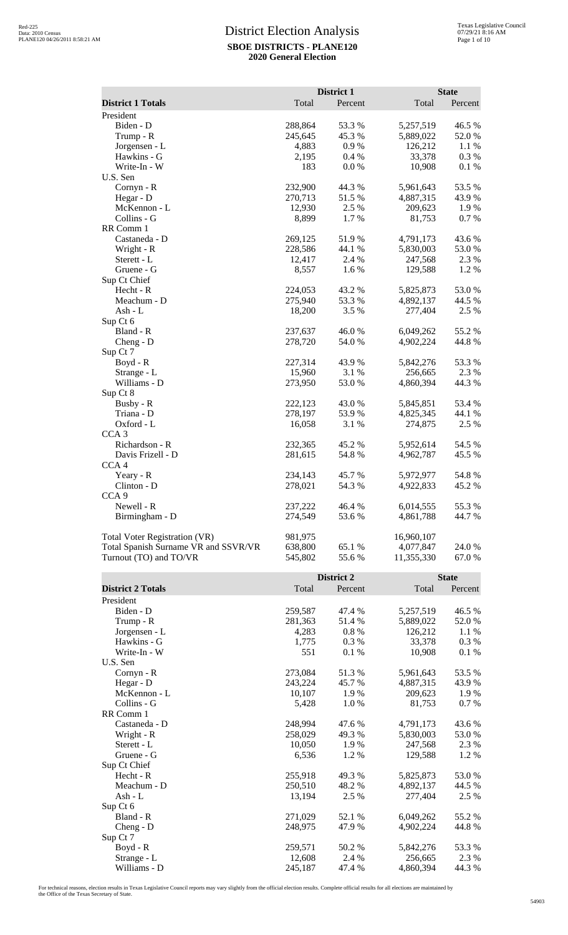|                                                                |                    | District 1       |                         | <b>State</b>     |
|----------------------------------------------------------------|--------------------|------------------|-------------------------|------------------|
| <b>District 1 Totals</b>                                       | Total              | Percent          | Total                   | Percent          |
| President                                                      |                    |                  |                         |                  |
| Biden - D<br>Trump - R                                         | 288,864<br>245,645 | 53.3 %<br>45.3 % | 5,257,519<br>5,889,022  | 46.5 %<br>52.0%  |
| Jorgensen - L                                                  | 4,883              | 0.9%             | 126,212                 | 1.1 %            |
| Hawkins - G                                                    | 2,195              | 0.4 %            | 33,378                  | 0.3%             |
| Write-In - W                                                   | 183                | 0.0 %            | 10,908                  | 0.1 %            |
| U.S. Sen                                                       |                    |                  |                         |                  |
| $Cornyn - R$<br>Hegar - D                                      | 232,900<br>270,713 | 44.3 %<br>51.5 % | 5,961,643<br>4,887,315  | 53.5 %<br>43.9 % |
| McKennon - L                                                   | 12,930             | 2.5 %            | 209,623                 | 1.9%             |
| Collins - G                                                    | 8,899              | 1.7%             | 81,753                  | 0.7 %            |
| RR Comm 1                                                      |                    |                  |                         |                  |
| Castaneda - D<br>Wright - R                                    | 269,125<br>228,586 | 51.9%<br>44.1 %  | 4,791,173<br>5,830,003  | 43.6%<br>53.0%   |
| Sterett - L                                                    | 12,417             | 2.4 %            | 247,568                 | 2.3 %            |
| Gruene - G                                                     | 8,557              | 1.6%             | 129,588                 | 1.2%             |
| Sup Ct Chief                                                   |                    |                  |                         |                  |
| Hecht - R<br>Meachum - D                                       | 224,053<br>275,940 | 43.2 %<br>53.3 % | 5,825,873<br>4,892,137  | 53.0%<br>44.5 %  |
| Ash - L                                                        | 18,200             | 3.5 %            | 277,404                 | 2.5 %            |
| Sup Ct 6                                                       |                    |                  |                         |                  |
| Bland - R                                                      | 237,637            | 46.0%            | 6,049,262               | 55.2 %           |
| Cheng - $D$<br>Sup Ct 7                                        | 278,720            | 54.0 %           | 4,902,224               | 44.8%            |
| Boyd - R                                                       | 227,314            | 43.9%            | 5,842,276               | 53.3 %           |
| Strange - L                                                    | 15,960             | 3.1 %            | 256,665                 | 2.3 %            |
| Williams - D                                                   | 273,950            | 53.0%            | 4,860,394               | 44.3 %           |
| Sup Ct 8<br>Busby - R                                          | 222,123            | 43.0%            | 5,845,851               | 53.4 %           |
| Triana - D                                                     | 278,197            | 53.9%            | 4,825,345               | 44.1 %           |
| Oxford - L                                                     | 16,058             | 3.1 %            | 274,875                 | 2.5 %            |
| CCA <sub>3</sub>                                               |                    |                  |                         |                  |
| Richardson - R                                                 | 232,365            | 45.2 %           | 5,952,614               | 54.5 %<br>45.5 % |
| Davis Frizell - D<br>CCA <sub>4</sub>                          | 281,615            | 54.8%            | 4,962,787               |                  |
| Yeary - R                                                      | 234,143            | 45.7%            | 5,972,977               | 54.8%            |
| Clinton - D                                                    | 278,021            | 54.3 %           | 4,922,833               | 45.2%            |
| CCA <sub>9</sub>                                               |                    |                  |                         |                  |
| Newell - R<br>Birmingham - D                                   | 237,222<br>274,549 | 46.4 %<br>53.6%  | 6,014,555<br>4,861,788  | 55.3%<br>44.7 %  |
|                                                                |                    |                  |                         |                  |
| Total Voter Registration (VR)                                  | 981,975            |                  | 16,960,107              |                  |
| Total Spanish Surname VR and SSVR/VR<br>Turnout (TO) and TO/VR | 638,800            | 65.1 %<br>55.6%  | 4,077,847<br>11,355,330 | 24.0 %<br>67.0%  |
|                                                                | 545,802            |                  |                         |                  |
|                                                                |                    | District 2       |                         | <b>State</b>     |
| <b>District 2 Totals</b>                                       | Total              | Percent          | Total                   | Percent          |
| President<br>Biden - D                                         | 259,587            | 47.4 %           | 5,257,519               | 46.5 %           |
| Trump - R                                                      | 281,363            | 51.4 %           | 5,889,022               | 52.0%            |
| Jorgensen - L                                                  | 4,283              | 0.8%             | 126,212                 | 1.1 %            |
| Hawkins - G                                                    | 1,775              | 0.3%             | 33,378                  | 0.3%             |
| Write-In - W<br>U.S. Sen                                       | 551                | 0.1 %            | 10,908                  | 0.1 %            |
| Cornyn - R                                                     | 273,084            | 51.3%            | 5,961,643               | 53.5 %           |
| Hegar - D                                                      | 243,224            | 45.7 %           | 4,887,315               | 43.9%            |
| McKennon - L                                                   | 10,107             | 1.9%             | 209,623                 | 1.9%             |
| Collins - G<br>RR Comm 1                                       | 5,428              | 1.0%             | 81,753                  | 0.7 %            |
| Castaneda - D                                                  | 248,994            | 47.6 %           | 4,791,173               | 43.6 %           |
| Wright - R                                                     | 258,029            | 49.3%            | 5,830,003               | 53.0%            |
| Sterett - L                                                    | 10,050             | $1.9\ \%$        | 247,568                 | 2.3 %            |
| Gruene - G                                                     | 6,536              | 1.2%             | 129,588                 | 1.2%             |
| Sup Ct Chief<br>Hecht - R                                      | 255,918            | 49.3%            | 5,825,873               | 53.0%            |
| Meachum - D                                                    | 250,510            | 48.2%            | 4,892,137               | 44.5 %           |
| Ash - L                                                        | 13,194             | 2.5 %            | 277,404                 | 2.5 %            |
| Sup Ct 6                                                       |                    |                  |                         |                  |
| Bland - R<br>$Cheng - D$                                       | 271,029<br>248,975 | 52.1 %<br>47.9%  | 6,049,262<br>4,902,224  | 55.2 %<br>44.8%  |
| Sup Ct 7                                                       |                    |                  |                         |                  |
| Boyd - R                                                       | 259,571            | 50.2%            | 5,842,276               | 53.3%            |
| Strange - L                                                    | 12,608             | 2.4 %            | 256,665                 | 2.3 %            |
| Williams - D                                                   | 245,187            | 47.4 %           | 4,860,394               | 44.3 %           |

For technical reasons, election results in Texas Legislative Council reports may vary slightly from the official election results. Complete official results for all elections are maintained by<br>the Office of the Texas Secre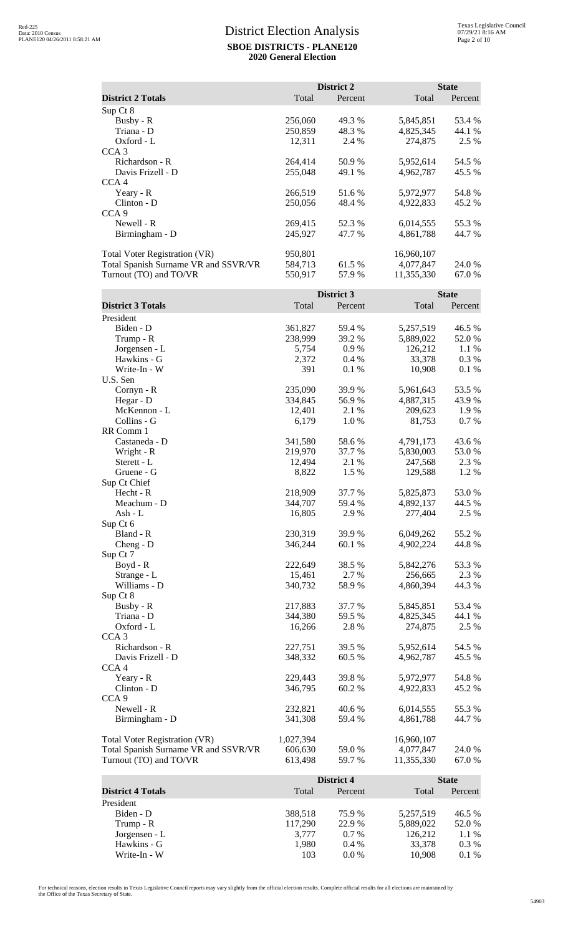|                                      |         | District 2 | <b>State</b> |         |
|--------------------------------------|---------|------------|--------------|---------|
| <b>District 2 Totals</b>             | Total   | Percent    | Total        | Percent |
| Sup Ct 8                             |         |            |              |         |
| Busby - $R$                          | 256,060 | 49.3 %     | 5,845,851    | 53.4 %  |
| Triana - D                           | 250,859 | 48.3 %     | 4,825,345    | 44.1 %  |
| Oxford - L                           | 12,311  | 2.4 %      | 274,875      | 2.5 %   |
| CCA <sub>3</sub>                     |         |            |              |         |
| Richardson - R                       | 264,414 | 50.9 %     | 5,952,614    | 54.5 %  |
| Davis Frizell - D                    | 255,048 | 49.1 %     | 4,962,787    | 45.5 %  |
| CCA <sub>4</sub>                     |         |            |              |         |
| Yeary - R                            | 266,519 | 51.6 %     | 5,972,977    | 54.8%   |
| $Clinton - D$                        | 250,056 | 48.4 %     | 4,922,833    | 45.2 %  |
| CCA <sub>9</sub>                     |         |            |              |         |
| Newell - R                           | 269,415 | 52.3 %     | 6,014,555    | 55.3 %  |
| Birmingham - D                       | 245,927 | 47.7 %     | 4,861,788    | 44.7 %  |
| <b>Total Voter Registration (VR)</b> | 950,801 |            | 16,960,107   |         |
| Total Spanish Surname VR and SSVR/VR | 584,713 | 61.5 %     | 4,077,847    | 24.0 %  |
| Turnout (TO) and TO/VR               | 550,917 | 57.9 %     | 11,355,330   | 67.0 %  |

|                                      |           | District 3 |            | <b>State</b> |
|--------------------------------------|-----------|------------|------------|--------------|
| <b>District 3 Totals</b>             | Total     | Percent    | Total      | Percent      |
| President                            |           |            |            |              |
| Biden - D                            | 361,827   | 59.4 %     | 5,257,519  | 46.5 %       |
| Trump - R                            | 238,999   | 39.2 %     | 5,889,022  | 52.0%        |
| Jorgensen - L                        | 5,754     | 0.9%       | 126,212    | 1.1 %        |
| Hawkins - G                          | 2,372     | 0.4%       | 33,378     | 0.3%         |
| Write-In - W                         | 391       | 0.1 %      | 10,908     | 0.1%         |
| U.S. Sen                             |           |            |            |              |
| $Cornyn - R$                         | 235,090   | 39.9%      | 5,961,643  | 53.5 %       |
| Hegar - D                            | 334,845   | 56.9%      | 4,887,315  | 43.9%        |
| McKennon - L                         | 12,401    | 2.1 %      | 209,623    | 1.9%         |
| Collins - G                          | 6,179     | 1.0%       | 81,753     | 0.7%         |
| RR Comm 1                            |           |            |            |              |
| Castaneda - D                        | 341,580   | 58.6%      | 4,791,173  | 43.6 %       |
| Wright - R                           | 219,970   | 37.7 %     | 5,830,003  | 53.0%        |
| Sterett - L                          | 12,494    | 2.1 %      | 247,568    | 2.3 %        |
| Gruene - G                           | 8,822     | 1.5 %      | 129,588    | 1.2%         |
| Sup Ct Chief                         |           |            |            |              |
| Hecht - R                            | 218,909   | 37.7 %     | 5,825,873  | 53.0%        |
| Meachum - D                          | 344,707   | 59.4 %     | 4,892,137  | 44.5 %       |
| Ash - L                              | 16,805    | 2.9 %      | 277,404    | 2.5 %        |
| Sup Ct 6                             |           |            |            |              |
| Bland - R                            | 230,319   | 39.9 %     | 6,049,262  | 55.2 %       |
| Cheng - D                            | 346,244   | 60.1%      | 4,902,224  | 44.8%        |
| Sup Ct 7                             |           |            |            |              |
| $Boyd - R$                           | 222,649   | 38.5 %     | 5,842,276  | 53.3 %       |
| Strange - L                          | 15,461    | 2.7 %      | 256,665    | 2.3 %        |
| Williams - D                         | 340,732   | 58.9%      | 4,860,394  | 44.3 %       |
| Sup Ct 8                             |           |            |            |              |
| Busby - R                            | 217,883   | 37.7 %     | 5,845,851  | 53.4 %       |
| Triana - D                           | 344,380   | 59.5 %     | 4,825,345  | 44.1 %       |
| Oxford - L                           | 16,266    | 2.8%       | 274,875    | 2.5 %        |
| CCA <sub>3</sub>                     |           |            |            |              |
| Richardson - R                       | 227,751   | 39.5 %     | 5,952,614  | 54.5 %       |
| Davis Frizell - D                    | 348,332   | 60.5 %     | 4,962,787  | 45.5 %       |
| CCA <sub>4</sub>                     |           |            |            |              |
| Yeary - R                            | 229,443   | 39.8%      | 5,972,977  | 54.8%        |
| Clinton - D                          | 346,795   | 60.2 %     | 4,922,833  | 45.2 %       |
| CCA <sub>9</sub>                     |           |            |            |              |
| Newell - R                           | 232,821   | 40.6%      | 6,014,555  | 55.3%        |
| Birmingham - D                       | 341,308   | 59.4 %     | 4,861,788  | 44.7 %       |
|                                      |           |            |            |              |
| <b>Total Voter Registration (VR)</b> | 1,027,394 |            | 16,960,107 |              |
| Total Spanish Surname VR and SSVR/VR | 606,630   | 59.0 %     | 4,077,847  | 24.0 %       |
| Turnout (TO) and TO/VR               | 613,498   | 59.7 %     | 11,355,330 | 67.0%        |
|                                      |           | District 4 |            | <b>State</b> |
| <b>District 4 Totals</b>             | Total     | Percent    | Total      | Percent      |
| President                            |           |            |            |              |
| Biden - D                            | 388,518   | 75.9%      | 5,257,519  | 46.5 %       |
| Trump - R                            | 117,290   | 22.9%      | 5,889,022  | 52.0 %       |
| Jorgensen - L                        | 3,777     | 0.7%       | 126,212    | 1.1 %        |
| Hawkins - G                          | 1,980     | 0.4 %      | 33,378     | 0.3%         |
| Write-In - W                         | 103       | 0.0 %      | 10,908     | 0.1 %        |

For technical reasons, election results in Texas Legislative Council reports may vary slightly from the official election results. Complete official results for all elections are maintained by<br>the Office of the Texas Secre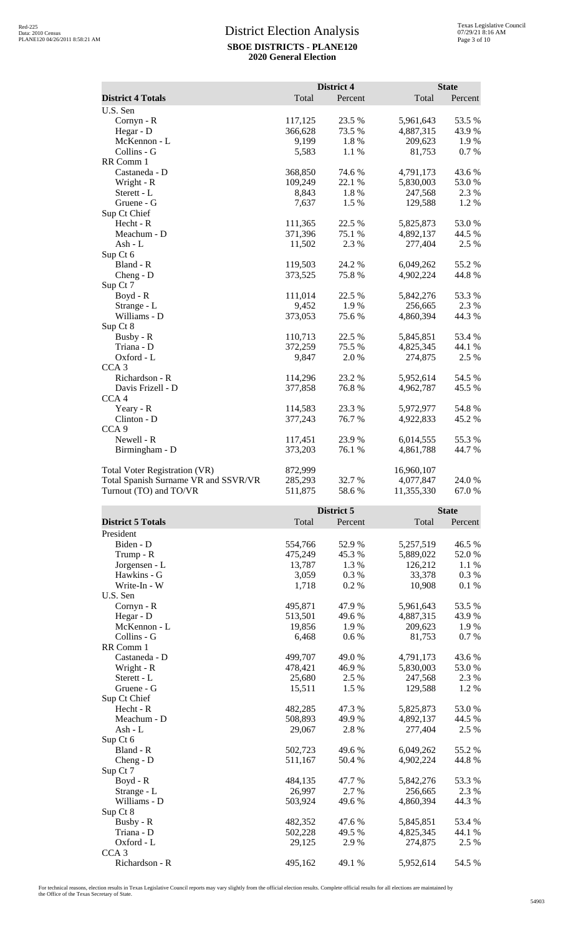| <b>District 4 Totals</b><br>Total<br>Percent<br>Total<br>Percent<br>U.S. Sen<br>117,125<br>23.5 %<br>5,961,643<br>53.5%<br>Cornyn - R<br>Hegar - D<br>73.5 %<br>4,887,315<br>43.9 %<br>366,628<br>McKennon - L<br>9,199<br>1.8%<br>209,623<br>1.9%<br>Collins - G<br>81,753<br>0.7 %<br>5,583<br>1.1 %<br>RR Comm 1<br>Castaneda - D<br>368,850<br>74.6%<br>43.6%<br>4,791,173<br>109,249<br>22.1 %<br>Wright - R<br>5,830,003<br>53.0%<br>Sterett - L<br>8,843<br>1.8%<br>247,568<br>2.3 %<br>1.2%<br>Gruene - G<br>7,637<br>1.5 %<br>129,588<br>Sup Ct Chief<br>Hecht - R<br>111,365<br>22.5 %<br>5,825,873<br>53.0% |
|------------------------------------------------------------------------------------------------------------------------------------------------------------------------------------------------------------------------------------------------------------------------------------------------------------------------------------------------------------------------------------------------------------------------------------------------------------------------------------------------------------------------------------------------------------------------------------------------------------------------|
|                                                                                                                                                                                                                                                                                                                                                                                                                                                                                                                                                                                                                        |
|                                                                                                                                                                                                                                                                                                                                                                                                                                                                                                                                                                                                                        |
|                                                                                                                                                                                                                                                                                                                                                                                                                                                                                                                                                                                                                        |
|                                                                                                                                                                                                                                                                                                                                                                                                                                                                                                                                                                                                                        |
|                                                                                                                                                                                                                                                                                                                                                                                                                                                                                                                                                                                                                        |
|                                                                                                                                                                                                                                                                                                                                                                                                                                                                                                                                                                                                                        |
|                                                                                                                                                                                                                                                                                                                                                                                                                                                                                                                                                                                                                        |
|                                                                                                                                                                                                                                                                                                                                                                                                                                                                                                                                                                                                                        |
|                                                                                                                                                                                                                                                                                                                                                                                                                                                                                                                                                                                                                        |
|                                                                                                                                                                                                                                                                                                                                                                                                                                                                                                                                                                                                                        |
|                                                                                                                                                                                                                                                                                                                                                                                                                                                                                                                                                                                                                        |
|                                                                                                                                                                                                                                                                                                                                                                                                                                                                                                                                                                                                                        |
|                                                                                                                                                                                                                                                                                                                                                                                                                                                                                                                                                                                                                        |
| Meachum - D<br>371,396<br>75.1 %<br>4,892,137<br>44.5 %                                                                                                                                                                                                                                                                                                                                                                                                                                                                                                                                                                |
| 2.5 %<br>Ash - L<br>11,502<br>2.3 %<br>277,404                                                                                                                                                                                                                                                                                                                                                                                                                                                                                                                                                                         |
| Sup Ct 6                                                                                                                                                                                                                                                                                                                                                                                                                                                                                                                                                                                                               |
| 24.2 %<br>55.2 %<br>Bland - R<br>119,503<br>6,049,262                                                                                                                                                                                                                                                                                                                                                                                                                                                                                                                                                                  |
| 373,525<br>75.8%<br>4,902,224<br>44.8%<br>Cheng - D                                                                                                                                                                                                                                                                                                                                                                                                                                                                                                                                                                    |
| Sup Ct 7                                                                                                                                                                                                                                                                                                                                                                                                                                                                                                                                                                                                               |
| 22.5 %<br>111,014<br>5,842,276<br>53.3 %<br>$Boyd - R$                                                                                                                                                                                                                                                                                                                                                                                                                                                                                                                                                                 |
| 1.9%<br>9,452<br>256,665<br>2.3 %<br>Strange - L                                                                                                                                                                                                                                                                                                                                                                                                                                                                                                                                                                       |
| Williams - D<br>373,053<br>75.6%<br>4,860,394<br>44.3 %                                                                                                                                                                                                                                                                                                                                                                                                                                                                                                                                                                |
| Sup Ct 8                                                                                                                                                                                                                                                                                                                                                                                                                                                                                                                                                                                                               |
| Busby - R<br>22.5 %<br>110,713<br>5,845,851<br>53.4 %                                                                                                                                                                                                                                                                                                                                                                                                                                                                                                                                                                  |
| 372,259<br>75.5 %<br>Triana - D<br>4,825,345<br>44.1 %                                                                                                                                                                                                                                                                                                                                                                                                                                                                                                                                                                 |
| Oxford - L<br>9,847<br>2.0%<br>274,875<br>2.5 %                                                                                                                                                                                                                                                                                                                                                                                                                                                                                                                                                                        |
| CCA <sub>3</sub>                                                                                                                                                                                                                                                                                                                                                                                                                                                                                                                                                                                                       |
| Richardson - R<br>23.2 %<br>114,296<br>5,952,614<br>54.5 %                                                                                                                                                                                                                                                                                                                                                                                                                                                                                                                                                             |
| Davis Frizell - D<br>377,858<br>76.8%<br>4,962,787<br>45.5 %                                                                                                                                                                                                                                                                                                                                                                                                                                                                                                                                                           |
| CCA <sub>4</sub>                                                                                                                                                                                                                                                                                                                                                                                                                                                                                                                                                                                                       |
| Yeary - R<br>114,583<br>23.3 %<br>5,972,977<br>54.8%                                                                                                                                                                                                                                                                                                                                                                                                                                                                                                                                                                   |
| Clinton - D<br>377,243<br>76.7%<br>45.2 %<br>4,922,833                                                                                                                                                                                                                                                                                                                                                                                                                                                                                                                                                                 |
| CCA <sub>9</sub>                                                                                                                                                                                                                                                                                                                                                                                                                                                                                                                                                                                                       |
| Newell - R<br>23.9%<br>55.3%<br>117,451<br>6,014,555                                                                                                                                                                                                                                                                                                                                                                                                                                                                                                                                                                   |
| 373,203<br>76.1 %<br>Birmingham - D<br>4,861,788<br>44.7 %                                                                                                                                                                                                                                                                                                                                                                                                                                                                                                                                                             |
| <b>Total Voter Registration (VR)</b><br>872,999<br>16,960,107                                                                                                                                                                                                                                                                                                                                                                                                                                                                                                                                                          |
| Total Spanish Surname VR and SSVR/VR<br>285,293<br>32.7 %<br>4,077,847<br>24.0 %                                                                                                                                                                                                                                                                                                                                                                                                                                                                                                                                       |
| Turnout (TO) and TO/VR<br>58.6%<br>11,355,330<br>511,875<br>67.0 %                                                                                                                                                                                                                                                                                                                                                                                                                                                                                                                                                     |
| District 5<br><b>State</b>                                                                                                                                                                                                                                                                                                                                                                                                                                                                                                                                                                                             |
| <b>District 5 Totals</b><br>Total<br>Percent<br>Total<br>Percent                                                                                                                                                                                                                                                                                                                                                                                                                                                                                                                                                       |
| President                                                                                                                                                                                                                                                                                                                                                                                                                                                                                                                                                                                                              |

| President        |         |         |           |        |
|------------------|---------|---------|-----------|--------|
| Biden - D        | 554,766 | 52.9 %  | 5,257,519 | 46.5 % |
| Trump - R        | 475,249 | 45.3%   | 5,889,022 | 52.0%  |
| Jorgensen - L    | 13,787  | 1.3 %   | 126,212   | 1.1 %  |
| Hawkins - G      | 3,059   | $0.3\%$ | 33,378    | 0.3%   |
| Write-In - W     | 1,718   | 0.2%    | 10,908    | 0.1 %  |
| U.S. Sen         |         |         |           |        |
| $Cornyn - R$     | 495,871 | 47.9 %  | 5,961,643 | 53.5 % |
| Hegar - D        | 513,501 | 49.6 %  | 4,887,315 | 43.9%  |
| McKennon - L     | 19,856  | 1.9 %   | 209,623   | 1.9 %  |
| Collins - G      | 6,468   | $0.6\%$ | 81,753    | 0.7 %  |
| RR Comm 1        |         |         |           |        |
| Castaneda - D    | 499,707 | 49.0 %  | 4,791,173 | 43.6 % |
| Wright - R       | 478,421 | 46.9%   | 5,830,003 | 53.0%  |
| Sterett - L      | 25,680  | 2.5 %   | 247,568   | 2.3 %  |
| Gruene - G       | 15,511  | 1.5 %   | 129,588   | 1.2%   |
| Sup Ct Chief     |         |         |           |        |
| $Hecht - R$      | 482,285 | 47.3 %  | 5,825,873 | 53.0%  |
| Meachum - D      | 508,893 | 49.9 %  | 4,892,137 | 44.5 % |
| Ash - L          | 29,067  | 2.8%    | 277,404   | 2.5 %  |
| Sup Ct 6         |         |         |           |        |
| Bland - R        | 502,723 | 49.6 %  | 6,049,262 | 55.2 % |
| $Cheng - D$      | 511,167 | 50.4 %  | 4,902,224 | 44.8%  |
| Sup Ct 7         |         |         |           |        |
| Boyd - R         | 484,135 | 47.7%   | 5,842,276 | 53.3%  |
| Strange - L      | 26,997  | 2.7 %   | 256,665   | 2.3 %  |
| Williams - D     | 503,924 | 49.6 %  | 4,860,394 | 44.3 % |
| Sup Ct 8         |         |         |           |        |
| Busby - R        | 482,352 | 47.6 %  | 5,845,851 | 53.4 % |
| Triana - D       | 502,228 | 49.5 %  | 4,825,345 | 44.1 % |
| Oxford - L       | 29,125  | 2.9%    | 274,875   | 2.5 %  |
| CCA <sub>3</sub> |         |         |           |        |
| Richardson - R   | 495,162 | 49.1 %  | 5,952,614 | 54.5 % |

For technical reasons, election results in Texas Legislative Council reports may vary slightly from the official election results. Complete official results for all elections are maintained by<br>the Office of the Texas Secre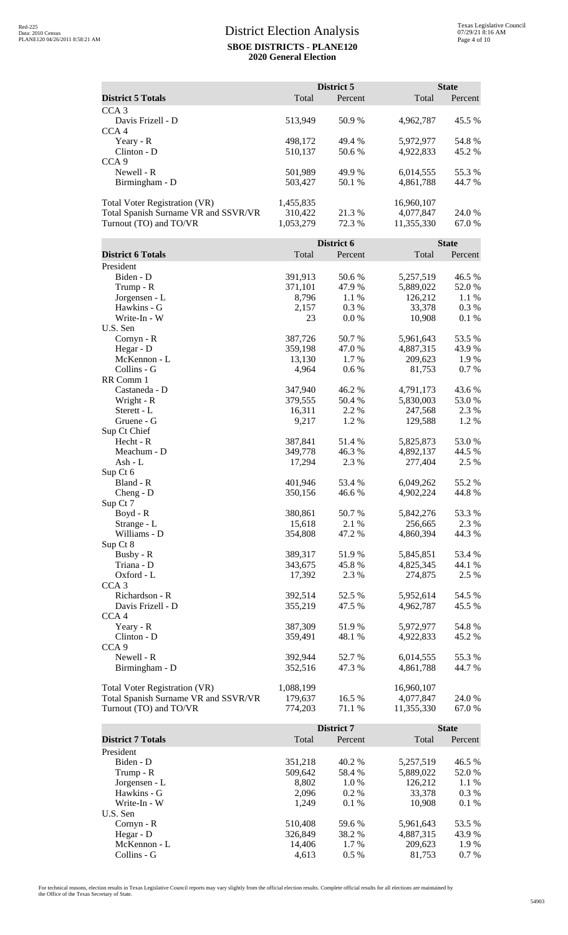|                                                                              |                      | District 5      |                         | <b>State</b>     |
|------------------------------------------------------------------------------|----------------------|-----------------|-------------------------|------------------|
| <b>District 5 Totals</b>                                                     | Total                | Percent         | Total                   | Percent          |
| CCA <sub>3</sub>                                                             |                      |                 |                         |                  |
| Davis Frizell - D                                                            | 513,949              | 50.9%           | 4,962,787               | 45.5 %           |
| CCA <sub>4</sub>                                                             |                      |                 |                         |                  |
| Yeary - R<br>Clinton - D                                                     | 498,172              | 49.4 %          | 5,972,977               | 54.8%            |
| CCA <sub>9</sub>                                                             | 510,137              | 50.6 %          | 4,922,833               | 45.2 %           |
| Newell - R                                                                   | 501,989              | 49.9%           | 6,014,555               | 55.3%            |
| Birmingham - D                                                               | 503,427              | 50.1 %          | 4,861,788               | 44.7 %           |
|                                                                              |                      |                 |                         |                  |
| <b>Total Voter Registration (VR)</b>                                         | 1,455,835            |                 | 16,960,107              |                  |
| Total Spanish Surname VR and SSVR/VR<br>Turnout (TO) and TO/VR               | 310,422<br>1,053,279 | 21.3%<br>72.3 % | 4,077,847<br>11,355,330 | 24.0 %<br>67.0%  |
|                                                                              |                      |                 |                         |                  |
|                                                                              |                      | District 6      |                         | <b>State</b>     |
| <b>District 6 Totals</b>                                                     | Total                | Percent         | Total                   | Percent          |
| President                                                                    |                      |                 |                         |                  |
| Biden - D                                                                    | 391,913              | 50.6%<br>47.9%  | 5,257,519               | 46.5 %           |
| Trump - R<br>Jorgensen - L                                                   | 371,101<br>8,796     | 1.1 %           | 5,889,022<br>126,212    | 52.0%<br>1.1 %   |
| Hawkins - G                                                                  | 2,157                | 0.3%            | 33,378                  | 0.3%             |
| Write-In - W                                                                 | 23                   | 0.0 %           | 10,908                  | 0.1%             |
| U.S. Sen                                                                     |                      |                 |                         |                  |
| $Cornyn - R$                                                                 | 387,726              | 50.7%           | 5,961,643               | 53.5 %           |
| Hegar - D<br>McKennon - L                                                    | 359,198              | 47.0%<br>1.7 %  | 4,887,315<br>209,623    | 43.9 %<br>1.9%   |
| Collins - G                                                                  | 13,130<br>4,964      | 0.6 %           | 81,753                  | 0.7 %            |
| RR Comm 1                                                                    |                      |                 |                         |                  |
| Castaneda - D                                                                | 347,940              | 46.2%           | 4,791,173               | 43.6 %           |
| Wright - R                                                                   | 379,555              | 50.4 %          | 5,830,003               | 53.0%            |
| Sterett - L                                                                  | 16,311               | 2.2 %           | 247,568                 | 2.3 %            |
| Gruene - G<br>Sup Ct Chief                                                   | 9,217                | 1.2%            | 129,588                 | 1.2%             |
| $Hecht - R$                                                                  | 387,841              | 51.4 %          | 5,825,873               | 53.0%            |
| Meachum - D                                                                  | 349,778              | 46.3 %          | 4,892,137               | 44.5 %           |
| Ash - L                                                                      | 17,294               | 2.3 %           | 277,404                 | 2.5 %            |
| Sup Ct 6                                                                     |                      |                 |                         |                  |
| Bland - R                                                                    | 401,946              | 53.4 %          | 6,049,262               | 55.2 %           |
| Cheng - D<br>Sup Ct 7                                                        | 350,156              | 46.6%           | 4,902,224               | 44.8%            |
| Boyd - R                                                                     | 380,861              | 50.7%           | 5,842,276               | 53.3 %           |
| Strange - L                                                                  | 15,618               | 2.1 %           | 256,665                 | 2.3 %            |
| Williams - D                                                                 | 354,808              | 47.2 %          | 4,860,394               | 44.3 %           |
| Sup Ct 8                                                                     |                      |                 |                         |                  |
| Busby - R<br>Triana - D                                                      | 389,317<br>343,675   | 51.9%<br>45.8%  | 5,845,851<br>4,825,345  | 53.4 %<br>44.1 % |
| Oxford - L                                                                   | 17,392               | 2.3 %           | 274,875                 | 2.5 %            |
| CCA <sub>3</sub>                                                             |                      |                 |                         |                  |
| Richardson - R                                                               | 392,514              | 52.5 %          | 5,952,614               | 54.5 %           |
| Davis Frizell - D                                                            | 355,219              | 47.5 %          | 4,962,787               | 45.5 %           |
| CCA <sub>4</sub>                                                             |                      |                 |                         |                  |
| Yeary - R<br>Clinton - D                                                     | 387,309<br>359,491   | 51.9%<br>48.1 % | 5,972,977<br>4,922,833  | 54.8%<br>45.2 %  |
| CCA <sub>9</sub>                                                             |                      |                 |                         |                  |
| Newell - R                                                                   | 392,944              | 52.7%           | 6,014,555               | 55.3%            |
| Birmingham - D                                                               | 352,516              | 47.3 %          | 4,861,788               | 44.7 %           |
|                                                                              |                      |                 |                         |                  |
| <b>Total Voter Registration (VR)</b><br>Total Spanish Surname VR and SSVR/VR | 1,088,199<br>179,637 | 16.5 %          | 16,960,107<br>4,077,847 | 24.0 %           |
| Turnout (TO) and TO/VR                                                       | 774,203              | 71.1 %          | 11,355,330              | 67.0%            |
|                                                                              |                      |                 |                         |                  |
|                                                                              |                      | District 7      |                         | <b>State</b>     |
| <b>District 7 Totals</b>                                                     | Total                | Percent         | Total                   | Percent          |
| President<br>Biden - D                                                       |                      |                 |                         |                  |
| Trump - R                                                                    | 351,218<br>509,642   | 40.2 %<br>58.4% | 5,257,519<br>5,889,022  | 46.5 %<br>52.0 % |
| Jorgensen - L                                                                | 8,802                | 1.0%            | 126,212                 | 1.1 %            |
| Hawkins - G                                                                  | 2,096                | 0.2 %           | 33,378                  | 0.3 %            |
| Write-In - W                                                                 | 1,249                | 0.1 %           | 10,908                  | 0.1 %            |
| U.S. Sen                                                                     |                      |                 |                         |                  |
| Cornyn - R<br>Hegar - D                                                      | 510,408<br>326,849   | 59.6%<br>38.2 % | 5,961,643<br>4,887,315  | 53.5 %<br>43.9%  |
| McKennon - L                                                                 | 14,406               | 1.7%            | 209,623                 | 1.9%             |
| Collins - G                                                                  | 4,613                | 0.5 %           | 81,753                  | 0.7 %            |

For technical reasons, election results in Texas Legislative Council reports may vary slightly from the official election results. Complete official results for all elections are maintained by<br>the Office of the Texas Secre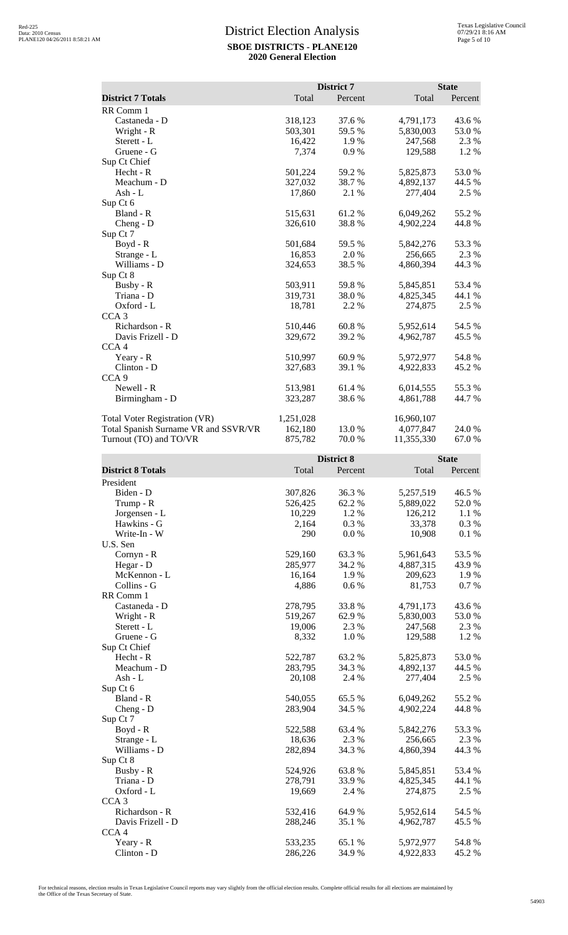|                                      | District 7 |            |            | <b>State</b> |  |
|--------------------------------------|------------|------------|------------|--------------|--|
| <b>District 7 Totals</b>             | Total      | Percent    | Total      | Percent      |  |
| RR Comm 1                            |            |            |            |              |  |
| Castaneda - D                        | 318,123    | 37.6 %     | 4,791,173  | 43.6 %       |  |
| Wright - R                           | 503,301    | 59.5 %     | 5,830,003  | 53.0%        |  |
| Sterett - L                          | 16,422     | 1.9%       | 247,568    | 2.3 %        |  |
| Gruene - G                           | 7,374      | 0.9%       | 129,588    | 1.2%         |  |
| Sup Ct Chief                         |            |            |            |              |  |
| $Hecht - R$                          | 501,224    | 59.2 %     | 5,825,873  | 53.0 %       |  |
| Meachum - D                          | 327,032    | 38.7%      | 4,892,137  | 44.5 %       |  |
| Ash - $L$                            | 17,860     | 2.1 %      | 277,404    | 2.5 %        |  |
| Sup Ct 6                             |            |            |            |              |  |
| Bland - R                            | 515,631    | 61.2%      | 6,049,262  | 55.2%        |  |
| Cheng - D                            | 326,610    | 38.8%      | 4,902,224  | 44.8%        |  |
| Sup Ct 7                             |            |            |            |              |  |
| Boyd - R                             | 501,684    | 59.5 %     | 5,842,276  | 53.3%        |  |
| Strange - L                          | 16,853     | 2.0 %      | 256,665    | 2.3 %        |  |
| Williams - D                         | 324,653    | 38.5%      | 4,860,394  | 44.3 %       |  |
| Sup Ct 8                             |            |            |            |              |  |
| Busby - R                            | 503,911    | 59.8%      | 5,845,851  | 53.4 %       |  |
| Triana - D                           | 319,731    | 38.0%      | 4,825,345  | 44.1 %       |  |
| Oxford - L                           | 18,781     | 2.2 %      | 274,875    | 2.5 %        |  |
| CCA <sub>3</sub>                     |            |            |            |              |  |
| Richardson - R                       | 510,446    | 60.8%      | 5,952,614  | 54.5 %       |  |
| Davis Frizell - D                    | 329,672    | 39.2 %     | 4,962,787  | 45.5 %       |  |
| CCA <sub>4</sub>                     |            |            |            |              |  |
| Yeary - R                            | 510,997    | 60.9%      | 5,972,977  | 54.8%        |  |
| Clinton - D                          | 327,683    | 39.1 %     | 4,922,833  | 45.2 %       |  |
| CCA <sub>9</sub>                     |            |            |            |              |  |
| Newell - R                           | 513,981    | 61.4%      | 6,014,555  | 55.3%        |  |
| Birmingham - D                       | 323,287    | 38.6%      | 4,861,788  | 44.7 %       |  |
| <b>Total Voter Registration (VR)</b> | 1,251,028  |            | 16,960,107 |              |  |
| Total Spanish Surname VR and SSVR/VR | 162,180    | 13.0 %     | 4,077,847  | 24.0 %       |  |
| Turnout (TO) and TO/VR               | 875,782    | 70.0%      | 11,355,330 | 67.0%        |  |
|                                      |            | District 8 |            | <b>State</b> |  |

|                          |         | LISUICI 0 |           | state   |  |
|--------------------------|---------|-----------|-----------|---------|--|
| <b>District 8 Totals</b> | Total   | Percent   | Total     | Percent |  |
| President                |         |           |           |         |  |
| Biden - D                | 307,826 | 36.3%     | 5,257,519 | 46.5 %  |  |
| Trump - R                | 526,425 | 62.2%     | 5,889,022 | 52.0%   |  |
| Jorgensen - L            | 10,229  | 1.2%      | 126,212   | 1.1 %   |  |
| Hawkins - G              | 2,164   | 0.3 %     | 33,378    | 0.3%    |  |
| Write-In - W             | 290     | 0.0 %     | 10,908    | 0.1 %   |  |
| U.S. Sen                 |         |           |           |         |  |
| Cornyn - R               | 529,160 | 63.3 %    | 5,961,643 | 53.5 %  |  |
| Hegar - D                | 285,977 | 34.2 %    | 4,887,315 | 43.9%   |  |
| McKennon - L             | 16,164  | 1.9%      | 209,623   | 1.9%    |  |
| Collins - G              | 4,886   | 0.6 %     | 81,753    | 0.7 %   |  |
| RR Comm 1                |         |           |           |         |  |
| Castaneda - D            | 278,795 | 33.8%     | 4,791,173 | 43.6%   |  |
| Wright - R               | 519,267 | 62.9%     | 5,830,003 | 53.0%   |  |
| Sterett - L              | 19,006  | 2.3 %     | 247,568   | 2.3 %   |  |
| Gruene - G               | 8,332   | 1.0%      | 129,588   | 1.2%    |  |
| Sup Ct Chief             |         |           |           |         |  |
| Hecht - R                | 522,787 | 63.2%     | 5,825,873 | 53.0%   |  |
| Meachum - D              | 283,795 | 34.3 %    | 4,892,137 | 44.5 %  |  |
| $Ash - L$                | 20,108  | 2.4 %     | 277,404   | 2.5 %   |  |
| Sup Ct 6                 |         |           |           |         |  |
| Bland - R                | 540,055 | 65.5%     | 6,049,262 | 55.2 %  |  |
| $Cheng - D$              | 283,904 | 34.5 %    | 4,902,224 | 44.8%   |  |
| Sup Ct 7                 |         |           |           |         |  |
| Boyd - R                 | 522,588 | 63.4 %    | 5,842,276 | 53.3%   |  |
| Strange - L              | 18,636  | 2.3 %     | 256,665   | 2.3 %   |  |
| Williams - D             | 282,894 | 34.3 %    | 4,860,394 | 44.3 %  |  |
| Sup Ct 8                 |         |           |           |         |  |
| Busby - R                | 524,926 | 63.8%     | 5,845,851 | 53.4 %  |  |
| Triana - D               | 278,791 | 33.9 %    | 4,825,345 | 44.1 %  |  |
| Oxford - L               | 19,669  | 2.4 %     | 274,875   | 2.5 %   |  |
| CCA <sub>3</sub>         |         |           |           |         |  |
| Richardson - R           | 532,416 | 64.9%     | 5,952,614 | 54.5 %  |  |
| Davis Frizell - D        | 288,246 | 35.1 %    | 4,962,787 | 45.5 %  |  |
| CCA <sub>4</sub>         |         |           |           |         |  |
| Yeary - R                | 533,235 | 65.1 %    | 5,972,977 | 54.8 %  |  |
| Clinton - D              | 286,226 | 34.9%     | 4,922,833 | 45.2 %  |  |

For technical reasons, election results in Texas Legislative Council reports may vary slightly from the official election results. Complete official results for all elections are maintained by<br>the Office of the Texas Secre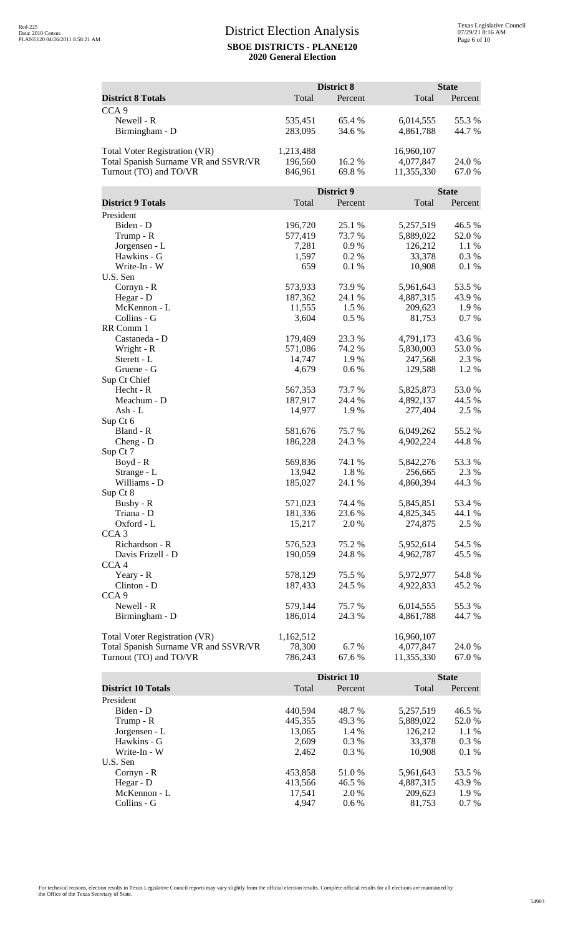|                                                                |                   | District 8        |                         | <b>State</b>    |
|----------------------------------------------------------------|-------------------|-------------------|-------------------------|-----------------|
| <b>District 8 Totals</b>                                       | Total             | Percent           | Total                   | Percent         |
| CCA <sub>9</sub>                                               |                   |                   |                         |                 |
| Newell - R                                                     | 535,451           | 65.4 %            | 6,014,555               | 55.3%           |
| Birmingham - D                                                 | 283,095           | 34.6 %            | 4,861,788               | 44.7 %          |
| <b>Total Voter Registration (VR)</b>                           | 1,213,488         |                   | 16,960,107              |                 |
| Total Spanish Surname VR and SSVR/VR                           | 196,560           | 16.2%             | 4,077,847               | 24.0 %          |
| Turnout (TO) and TO/VR                                         | 846,961           | 69.8%             | 11,355,330              | 67.0%           |
|                                                                |                   | <b>District 9</b> |                         | <b>State</b>    |
| <b>District 9 Totals</b>                                       | Total             | Percent           | Total                   | Percent         |
| President                                                      |                   |                   |                         |                 |
| Biden - D                                                      | 196,720           | 25.1 %            | 5,257,519               | 46.5 %          |
| Trump - R                                                      | 577,419           | 73.7%             | 5,889,022               | 52.0%           |
| Jorgensen - L                                                  | 7,281             | 0.9%              | 126,212                 | 1.1 %           |
| Hawkins - G                                                    | 1,597             | 0.2 %             | 33,378                  | 0.3 %           |
| Write-In - W                                                   | 659               | 0.1 %             | 10,908                  | 0.1 %           |
| U.S. Sen                                                       | 573,933           | 73.9%             |                         |                 |
| Cornyn - R<br>Hegar - D                                        | 187,362           | 24.1 %            | 5,961,643<br>4,887,315  | 53.5 %<br>43.9% |
| McKennon - L                                                   | 11,555            | 1.5 %             | 209,623                 | 1.9%            |
| Collins - G                                                    | 3,604             | 0.5 %             | 81,753                  | 0.7%            |
| RR Comm 1                                                      |                   |                   |                         |                 |
| Castaneda - D                                                  | 179,469           | 23.3 %            | 4,791,173               | 43.6 %          |
| Wright - R                                                     | 571,086           | 74.2 %            | 5,830,003               | 53.0%           |
| Sterett - L                                                    | 14,747            | 1.9%              | 247,568                 | 2.3 %           |
| Gruene - G                                                     | 4,679             | $0.6\,\%$         | 129,588                 | 1.2%            |
| Sup Ct Chief                                                   |                   |                   |                         |                 |
| Hecht - R                                                      | 567,353           | 73.7 %            | 5,825,873               | 53.0%           |
| Meachum - D                                                    | 187,917           | 24.4 %            | 4,892,137               | 44.5 %          |
| Ash - L                                                        | 14,977            | 1.9%              | 277,404                 | 2.5 %           |
| Sup Ct 6                                                       |                   |                   |                         |                 |
| Bland - R                                                      | 581,676           | 75.7%             | 6,049,262               | 55.2 %          |
| Cheng - D                                                      | 186,228           | 24.3 %            | 4,902,224               | 44.8%           |
| Sup Ct 7                                                       |                   |                   |                         |                 |
| Boyd - R                                                       | 569,836           | 74.1 %            | 5,842,276               | 53.3 %          |
| Strange - L<br>Williams - D                                    | 13,942            | 1.8%              | 256,665                 | 2.3 %           |
| Sup Ct 8                                                       | 185,027           | 24.1 %            | 4,860,394               | 44.3 %          |
| Busby - R                                                      | 571,023           | 74.4 %            | 5,845,851               | 53.4 %          |
| Triana - D                                                     | 181,336           | 23.6 %            | 4,825,345               | 44.1 %          |
| Oxford - L                                                     | 15,217            | 2.0%              | 274,875                 | 2.5 %           |
| CCA <sub>3</sub>                                               |                   |                   |                         |                 |
| Richardson - R                                                 | 576,523           | 75.2 %            | 5,952,614               | 54.5 %          |
| Davis Frizell - D                                              | 190,059           | 24.8%             | 4,962,787               | 45.5 %          |
| CCA <sub>4</sub>                                               |                   |                   |                         |                 |
| Yeary - R                                                      | 578,129           | 75.5 %            | 5,972,977               | 54.8%           |
| Clinton - D                                                    | 187,433           | 24.5 %            | 4,922,833               | 45.2 %          |
| CCA <sub>9</sub>                                               |                   |                   |                         |                 |
| Newell - R                                                     | 579,144           | 75.7%             | 6,014,555               | 55.3%           |
| Birmingham - D                                                 | 186,014           | 24.3 %            | 4,861,788               | 44.7 %          |
|                                                                |                   |                   |                         |                 |
| <b>Total Voter Registration (VR)</b>                           | 1,162,512         |                   | 16,960,107              |                 |
| Total Spanish Surname VR and SSVR/VR<br>Turnout (TO) and TO/VR | 78,300<br>786,243 | 6.7%<br>67.6%     | 4,077,847<br>11,355,330 | 24.0 %          |
|                                                                |                   |                   |                         | 67.0 %          |
|                                                                |                   | District 10       |                         | <b>State</b>    |
| <b>District 10 Totals</b>                                      | Total             | Percent           | Total                   | Percent         |
| President                                                      |                   |                   |                         |                 |
| Biden - D                                                      | 440,594           | 48.7%             | 5,257,519               | 46.5 %          |
| Trump - R                                                      | 445,355           | 49.3%             | 5,889,022               | 52.0 %          |
| Jorgensen - L                                                  | 13,065            | 1.4 %             | 126,212                 | 1.1 %           |
| Hawkins - G                                                    | 2,609             | 0.3%              | 33,378                  | 0.3 %           |
| Write-In - W                                                   | 2,462             | 0.3%              | 10,908                  | 0.1%            |
| U.S. Sen                                                       |                   |                   |                         |                 |

Cornyn - R<br>
Hegar - D<br>
413,566 46.5 % 5,961,643 53.5 % 6,887,315 43.9 % Hegar - D 413,566 46.5 % 4,887,315 43.9 % McKennon - L<br>
McKennon - L<br>
Collins - G<br>
Collins - G<br>
Collins - C<br>
Collins - C<br>
Collins - C<br>
Collins - C<br>
Collins - C<br>
Collins - C<br>
Collins - C<br>
Collins - C<br>
Collins - C<br>
Collins - C<br>
Collins - C<br>
Collins - C<br>
Collins - C<br> Collins - G  $4,947$  0.6 % 81,753 0.7 %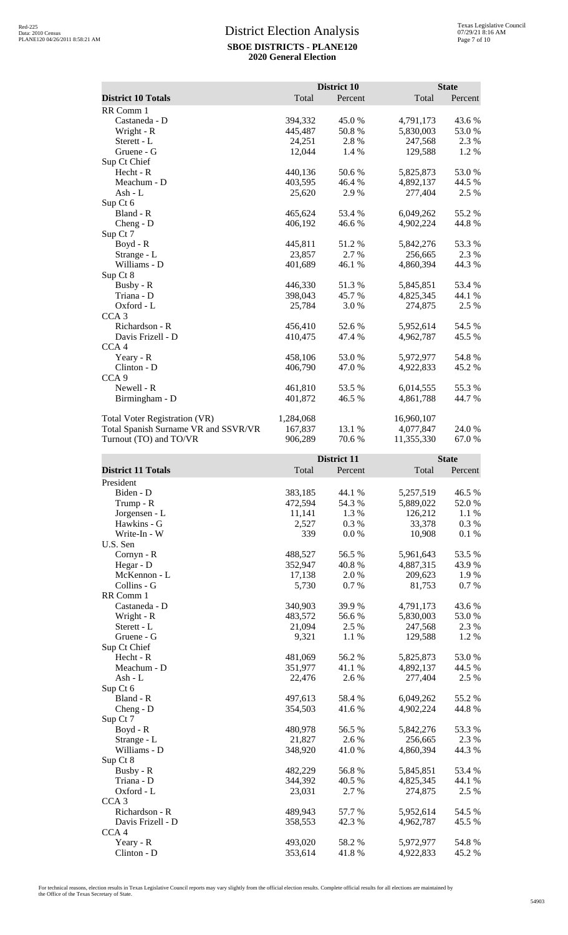|                                      |                    | District 10 |                        | <b>State</b>    |
|--------------------------------------|--------------------|-------------|------------------------|-----------------|
| <b>District 10 Totals</b>            | Total              | Percent     | Total                  | Percent         |
| RR Comm 1                            |                    |             |                        |                 |
|                                      | 394,332            | 45.0%       |                        |                 |
| Castaneda - D<br>Wright - R          | 445,487            | 50.8%       | 4,791,173<br>5,830,003 | 43.6 %<br>53.0% |
| Sterett - L                          | 24,251             | 2.8%        | 247,568                | 2.3 %           |
| Gruene - G                           | 12,044             |             |                        |                 |
|                                      |                    | 1.4 %       | 129,588                | 1.2 %           |
| Sup Ct Chief<br>Hecht - R            |                    |             | 5,825,873              |                 |
| Meachum - D                          | 440,136<br>403,595 | 50.6%       |                        | 53.0%<br>44.5 % |
|                                      |                    | 46.4 %      | 4,892,137              |                 |
| Ash - L                              | 25,620             | 2.9%        | 277,404                | 2.5 %           |
| Sup Ct 6                             |                    |             |                        |                 |
| Bland - R                            | 465,624            | 53.4 %      | 6,049,262              | 55.2 %          |
| Cheng - D                            | 406,192            | 46.6 %      | 4,902,224              | 44.8%           |
| Sup Ct 7                             |                    |             |                        |                 |
| Boyd - R                             | 445,811            | 51.2 %      | 5,842,276              | 53.3 %          |
| Strange - L                          | 23,857             | 2.7 %       | 256,665                | 2.3 %           |
| Williams - D                         | 401,689            | 46.1 %      | 4,860,394              | 44.3 %          |
| Sup Ct 8                             |                    |             |                        |                 |
| Busby - R                            | 446,330            | 51.3%       | 5,845,851              | 53.4 %          |
| Triana - D                           | 398,043            | 45.7 %      | 4,825,345              | 44.1 %          |
| Oxford - L                           | 25,784             | 3.0 %       | 274,875                | 2.5 %           |
| CCA <sub>3</sub>                     |                    |             |                        |                 |
| Richardson - R                       | 456,410            | 52.6%       | 5,952,614              | 54.5 %          |
| Davis Frizell - D                    | 410,475            | 47.4 %      | 4,962,787              | 45.5 %          |
| CCA <sub>4</sub>                     |                    |             |                        |                 |
| Yeary - R                            | 458,106            | 53.0%       | 5,972,977              | 54.8%           |
| Clinton - D                          | 406,790            | 47.0 %      | 4,922,833              | 45.2 %          |
| CCA <sub>9</sub>                     |                    |             |                        |                 |
| Newell - R                           | 461,810            | 53.5 %      | 6,014,555              | 55.3%           |
| Birmingham - D                       | 401,872            | 46.5 %      | 4,861,788              | 44.7 %          |
|                                      |                    |             |                        |                 |
| Total Voter Registration (VR)        | 1,284,068          |             | 16,960,107             |                 |
| Total Spanish Surname VR and SSVR/VR | 167,837            | 13.1 %      | 4,077,847              | 24.0 %          |
| Turnout (TO) and TO/VR               | 906,289            | 70.6%       | 11,355,330             | 67.0%           |
|                                      |                    | District 11 |                        | <b>State</b>    |
| <b>District 11 Totals</b>            | Total              | Percent     | Total                  | Percent         |
| President                            |                    |             |                        |                 |
|                                      |                    |             |                        |                 |
| Biden - D                            | 383,185            | 44.1 %      | 5,257,519              | 46.5 %          |
| Trump - R                            | 472,594            | 54.3 %      | 5,889,022              | 52.0 %          |
| Jorgensen - L                        | 11,141             | 1.3 %       | 126,212                | 1.1 %           |
| Hawkins - G                          | 2,527              | 0.3%        | 33,378                 | 0.3 %           |
| Write-In - W                         | 339                | 0.0 %       | 10,908                 | 0.1 %           |
| U.S. Sen                             |                    |             |                        |                 |
| $Cornyn - R$                         | 488,527            | 56.5 %      | 5,961,643              | 53.5 %          |
| Hegar - D                            | 352,947            | 40.8%       | 4,887,315              | 43.9%           |
| McKennon - L                         | 17,138             | 2.0 %       | 209,623                | 1.9 %           |
| Collins - G                          | 5,730              | 0.7 %       | 81,753                 | 0.7%            |
| RR Comm 1                            |                    |             |                        |                 |
| Castaneda - D                        | 340,903            | 39.9%       | 4,791,173              | 43.6 %          |
| Wright - R                           | 483,572            | 56.6%       | 5,830,003              | 53.0%           |
| Sterett - L                          | 21,094             | $2.5~\%$    | 247,568                | 2.3 %           |
| Gruene - G                           | 9,321              | 1.1 %       | 129,588                | 1.2 %           |
| Sup Ct Chief                         |                    |             |                        |                 |
| Hecht - R                            | 481,069            | 56.2%       | 5,825,873              | 53.0%           |
| Meachum - D                          | 351,977            | 41.1 %      | 4,892,137              | 44.5 %          |
| Ash - L                              | 22,476             | 2.6 %       | 277,404                | 2.5 %           |

Strange - L<br>
Williams - D<br>
21,827 2.6 % 256,665 2.3 %<br>
348,920 41.0 % 4,860,394 44.3 %

Busby - R 182,229 56.8 % 5,845,851 53.4 % Triana - D 344,392 40.5 % 4,825,345 44.1 % Oxford - L 23,031 2.7 % 274,875 2.5 %

Richardson - R<br>
Davis Frizell - D<br>
258,553 42.3 % 4,962,787 45.5 %

Yeary - R<br>
Clinton - D<br>
253,614<br>
253,614<br>
41.8 %<br>
493,020<br>
41.8 %<br>
4,922,833<br>
45.2 %

Davis Frizell - D 358,553 42.3 % 4,962,787

497,613 58.4 % 6,049,262 55.2 %<br>354,503 41.6 % 4,902,224 44.8 %

480,978 56.5 % 5,842,276 53.3 %<br>21,827 2.6 % 256,665 2.3 %

Williams - D 348,920

Sup Ct 6

Sup Ct 8

CCA 3

CCA 4

Clinton - D

Cheng - D Sup Ct 7<br>Boyd - R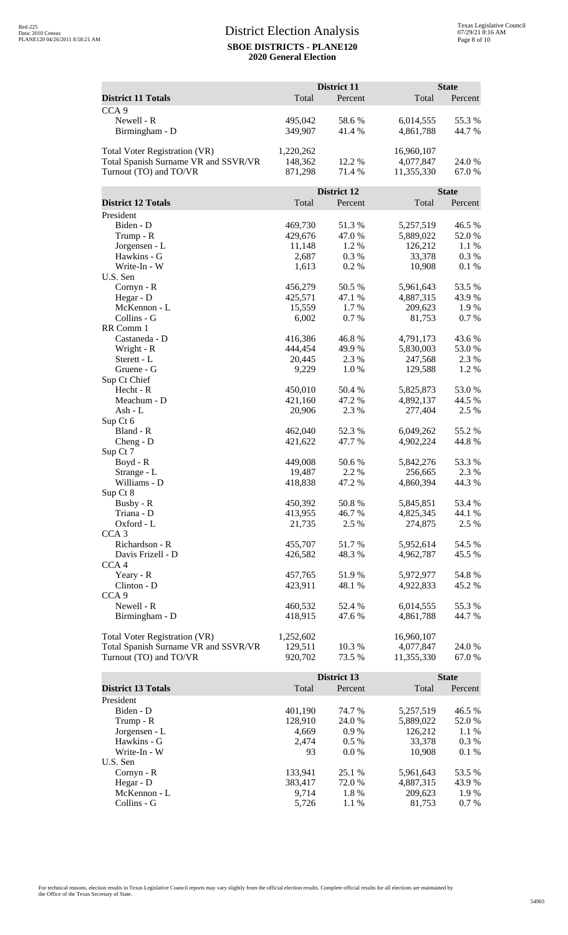|                                      |                  | District 11     |                      | <b>State</b>    |
|--------------------------------------|------------------|-----------------|----------------------|-----------------|
| <b>District 11 Totals</b>            | Total            | Percent         | Total                | Percent         |
| CCA <sub>9</sub>                     |                  |                 |                      |                 |
| Newell - R                           | 495,042          | 58.6%           | 6,014,555            | 55.3 %          |
| Birmingham - D                       | 349,907          | 41.4%           | 4,861,788            | 44.7%           |
|                                      |                  |                 |                      |                 |
| Total Voter Registration (VR)        | 1,220,262        |                 | 16,960,107           |                 |
| Total Spanish Surname VR and SSVR/VR | 148,362          | 12.2 %          | 4,077,847            | 24.0 %          |
| Turnout (TO) and TO/VR               | 871,298          | 71.4 %          | 11,355,330           | 67.0%           |
|                                      |                  |                 |                      |                 |
|                                      |                  | District 12     |                      | <b>State</b>    |
| <b>District 12 Totals</b>            | Total            | Percent         | Total                | Percent         |
| President<br>Biden - D               | 469,730          | 51.3%           | 5,257,519            | 46.5 %          |
| Trump - R                            | 429,676          | 47.0 %          | 5,889,022            | 52.0%           |
| Jorgensen - L                        | 11,148           | 1.2 %           | 126,212              | 1.1 %           |
| Hawkins - G                          | 2,687            | 0.3%            | 33,378               | 0.3%            |
| Write-In - W                         | 1,613            | 0.2%            | 10,908               | 0.1 %           |
| U.S. Sen                             |                  |                 |                      |                 |
| Cornyn - R                           | 456,279          | 50.5 %          | 5,961,643            | 53.5 %          |
| Hegar - D                            | 425,571          | 47.1 %          | 4,887,315            | 43.9%           |
| McKennon - L                         | 15,559           | 1.7 %           | 209,623              | 1.9%            |
| Collins - G                          | 6,002            | 0.7%            | 81,753               | 0.7%            |
| RR Comm 1                            |                  |                 |                      |                 |
| Castaneda - D                        | 416,386          | 46.8%           | 4,791,173            | 43.6 %          |
| Wright - R                           | 444,454          | 49.9%           | 5,830,003            | 53.0 %          |
| Sterett - L                          | 20,445           | 2.3 %           | 247,568              | 2.3 %           |
| Gruene - G                           | 9,229            | 1.0%            | 129,588              | 1.2%            |
| Sup Ct Chief<br>Hecht - R            | 450,010          | 50.4 %          | 5,825,873            | 53.0%           |
| Meachum - D                          | 421,160          | 47.2 %          | 4,892,137            | 44.5 %          |
| Ash - L                              | 20,906           | 2.3 %           | 277,404              | 2.5 %           |
| Sup Ct 6                             |                  |                 |                      |                 |
| Bland - R                            | 462,040          | 52.3 %          | 6,049,262            | 55.2 %          |
| Cheng - D                            | 421,622          | 47.7 %          | 4,902,224            | 44.8%           |
| Sup Ct 7                             |                  |                 |                      |                 |
| Boyd - R                             | 449,008          | 50.6%           | 5,842,276            | 53.3 %          |
| Strange - L                          | 19,487           | 2.2 %           | 256,665              | 2.3 %           |
| Williams - D                         | 418,838          | 47.2 %          | 4,860,394            | 44.3 %          |
| Sup Ct 8                             |                  |                 |                      |                 |
| Busby - R                            | 450,392          | 50.8%           | 5,845,851            | 53.4 %          |
| Triana - D                           | 413,955          | 46.7%<br>2.5 %  | 4,825,345            | 44.1 %          |
| Oxford - L<br>CCA <sub>3</sub>       | 21,735           |                 | 274,875              | 2.5 %           |
| Richardson - R                       | 455,707          | 51.7%           | 5,952,614            | 54.5 %          |
| Davis Frizell - D                    | 426,582          | 48.3%           | 4,962,787            | 45.5 %          |
| CCA <sub>4</sub>                     |                  |                 |                      |                 |
| Yeary - R                            | 457,765          | 51.9%           | 5,972,977            | 54.8%           |
| Clinton - D                          | 423,911          | 48.1 %          | 4,922,833            | 45.2 %          |
| CCA <sub>9</sub>                     |                  |                 |                      |                 |
| Newell - R                           | 460,532          | 52.4 %          | 6,014,555            | 55.3%           |
| Birmingham - D                       | 418,915          | 47.6 %          | 4,861,788            | 44.7 %          |
|                                      |                  |                 |                      |                 |
| Total Voter Registration (VR)        | 1,252,602        |                 | 16,960,107           |                 |
| Total Spanish Surname VR and SSVR/VR | 129,511          | 10.3 %          | 4,077,847            | 24.0 %          |
| Turnout (TO) and TO/VR               | 920,702          | 73.5 %          | 11,355,330           | 67.0 %          |
|                                      |                  |                 |                      |                 |
|                                      |                  | District 13     |                      | <b>State</b>    |
| <b>District 13 Totals</b>            | Total            | Percent         | Total                | Percent         |
| President                            |                  |                 |                      |                 |
| Biden - D                            | 401,190          | 74.7 %          | 5,257,519            | 46.5 %          |
| Trump - R<br>Jorgensen - L           | 128,910<br>4,669 | 24.0 %<br>0.9 % | 5,889,022<br>126,212 | 52.0 %<br>1.1 % |
| Hawkins - G                          | 2,474            | 0.5 %           | 33,378               | 0.3 %           |
| Write-In - W                         | 93               | $0.0\ \%$       | 10,908               | 0.1 %           |

Cornyn - R<br>
Hegar - D<br>
25.1 % 5,961,643 53.5 %<br>
383,417 72.0 % 4,887,315 43.9 % Hegar - D 383,417 72.0 % 4,887,315 43.9 % McKennon - L<br>
McKennon - L<br>
2009,623 1.9 % 209,623 1.9 % 201 % 201 % 201 % 201 % 201 % 201 % 201 % 201 % 201 % 201 % 201 % 201 % 201 % 20<br>
201 1.1 % 201 % 201 % 201 % 201 % 201 % 201 % 201 % 201 % 201 % 201 % 201 % 201 % 2 Collins - G  $5,726$   $1.1\%$   $81,753$   $0.7\%$ 

U.S. Sen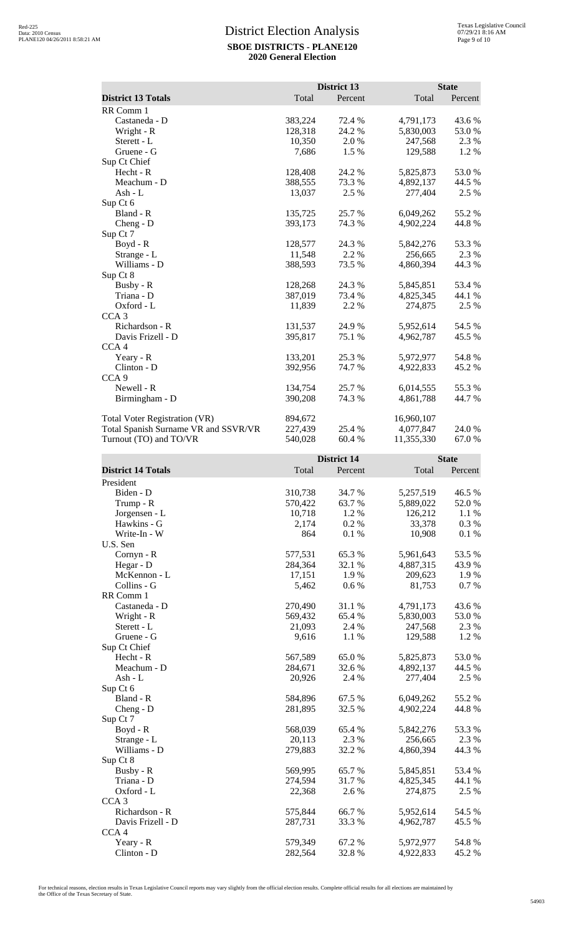|                                      |         | District 13 |            | <b>State</b>            |  |
|--------------------------------------|---------|-------------|------------|-------------------------|--|
| <b>District 13 Totals</b>            | Total   | Percent     | Total      | Percent                 |  |
| RR Comm 1                            |         |             |            |                         |  |
| Castaneda - D                        | 383,224 | 72.4 %      | 4,791,173  | 43.6 %                  |  |
| Wright - R                           | 128,318 | 24.2 %      | 5,830,003  | 53.0%                   |  |
| Sterett - L                          | 10,350  | 2.0 %       | 247,568    | 2.3 %                   |  |
| Gruene - G                           | 7,686   | 1.5 %       | 129,588    | 1.2%                    |  |
| Sup Ct Chief                         |         |             |            |                         |  |
| Hecht - R                            | 128,408 | 24.2 %      | 5,825,873  | 53.0%                   |  |
| Meachum - D                          | 388,555 | 73.3 %      | 4,892,137  | 44.5 %                  |  |
| Ash - L                              | 13,037  | 2.5 %       | 277,404    | 2.5 %                   |  |
| Sup Ct 6                             |         |             |            |                         |  |
| Bland - R                            | 135,725 | 25.7 %      | 6,049,262  | 55.2 %                  |  |
| Cheng - D                            | 393,173 | 74.3 %      | 4,902,224  | 44.8 %                  |  |
| Sup Ct 7                             |         |             |            |                         |  |
| Boyd - R                             | 128,577 | 24.3 %      | 5,842,276  | 53.3 %                  |  |
| Strange - L<br>Williams - D          | 11,548  | 2.2 %       | 256,665    | 2.3 %<br>44.3 %         |  |
| Sup Ct 8                             | 388,593 | 73.5 %      | 4,860,394  |                         |  |
| Busby - R                            | 128,268 | 24.3 %      | 5,845,851  | 53.4 %                  |  |
| Triana - D                           | 387,019 | 73.4 %      | 4,825,345  | 44.1 %                  |  |
| Oxford - L                           | 11,839  | 2.2 %       | 274,875    | 2.5 %                   |  |
| CCA <sub>3</sub>                     |         |             |            |                         |  |
| Richardson - R                       | 131,537 | 24.9 %      | 5,952,614  | 54.5 %                  |  |
| Davis Frizell - D                    | 395,817 | 75.1 %      | 4,962,787  | 45.5 %                  |  |
| CCA <sub>4</sub>                     |         |             |            |                         |  |
| Yeary - R                            | 133,201 | 25.3 %      | 5,972,977  | 54.8%                   |  |
| Clinton - D                          | 392,956 | 74.7 %      | 4,922,833  | 45.2 %                  |  |
| CCA <sub>9</sub>                     |         |             |            |                         |  |
| Newell - R                           | 134,754 | 25.7%       | 6,014,555  | 55.3 %                  |  |
| Birmingham - D                       | 390,208 | 74.3 %      | 4,861,788  | 44.7 %                  |  |
| <b>Total Voter Registration (VR)</b> | 894,672 |             | 16,960,107 |                         |  |
| Total Spanish Surname VR and SSVR/VR | 227,439 | 25.4 %      | 4,077,847  | 24.0%                   |  |
| Turnout (TO) and TO/VR               | 540,028 | 60.4 %      | 11,355,330 | 67.0%                   |  |
|                                      |         | District 14 |            |                         |  |
| <b>District 14 Totals</b>            | Total   | Percent     | Total      | <b>State</b><br>Percent |  |
| President                            |         |             |            |                         |  |
| Biden - D                            | 310,738 | 34.7 %      | 5,257,519  | 46.5 %                  |  |
| Trump - R                            | 570,422 | 63.7%       | 5,889,022  | 52.0%                   |  |
| Jorgensen - L                        | 10,718  | 1.2 %       | 126,212    | 1.1 %                   |  |
| Hawkins - G                          | 2,174   | 0.2 %       | 33,378     | 0.3%                    |  |
| Write-In - W                         | 864     | 0.1%        | 10,908     | 0.1%                    |  |
| U.S. Sen                             |         |             |            |                         |  |
| Cornyn - R                           | 577,531 | 65.3%       | 5,961,643  | 53.5 %                  |  |
| Hegar - D                            | 284,364 | 32.1 %      | 4,887,315  | 43.9%                   |  |
|                                      |         |             |            |                         |  |

| President         |         |        |           |        |
|-------------------|---------|--------|-----------|--------|
| Biden - D         | 310,738 | 34.7 % | 5,257,519 | 46.5 % |
| Trump - R         | 570,422 | 63.7 % | 5,889,022 | 52.0%  |
| Jorgensen - L     | 10,718  | 1.2 %  | 126,212   | 1.1 %  |
| Hawkins - G       | 2,174   | 0.2 %  | 33,378    | 0.3%   |
| Write-In - W      | 864     | 0.1 %  | 10,908    | 0.1%   |
| U.S. Sen          |         |        |           |        |
| Cornyn - R        | 577,531 | 65.3 % | 5,961,643 | 53.5 % |
| Hegar - D         | 284,364 | 32.1 % | 4,887,315 | 43.9%  |
| McKennon - L      | 17,151  | 1.9%   | 209,623   | 1.9%   |
| Collins - G       | 5,462   | 0.6 %  | 81,753    | 0.7%   |
| RR Comm 1         |         |        |           |        |
| Castaneda - D     | 270,490 | 31.1 % | 4,791,173 | 43.6%  |
| Wright - R        | 569,432 | 65.4 % | 5,830,003 | 53.0%  |
| Sterett - L       | 21,093  | 2.4 %  | 247,568   | 2.3 %  |
| Gruene - G        | 9,616   | 1.1 %  | 129,588   | 1.2%   |
| Sup Ct Chief      |         |        |           |        |
| Hecht - R         | 567,589 | 65.0%  | 5,825,873 | 53.0%  |
| Meachum - D       | 284,671 | 32.6%  | 4,892,137 | 44.5 % |
| Ash - L           | 20,926  | 2.4 %  | 277,404   | 2.5 %  |
| Sup Ct 6          |         |        |           |        |
| Bland - R         | 584,896 | 67.5 % | 6,049,262 | 55.2 % |
| $Cheng - D$       | 281,895 | 32.5 % | 4,902,224 | 44.8%  |
| Sup Ct 7          |         |        |           |        |
| Boyd - R          | 568,039 | 65.4 % | 5,842,276 | 53.3%  |
| Strange - L       | 20,113  | 2.3 %  | 256,665   | 2.3 %  |
| Williams - D      | 279,883 | 32.2 % | 4,860,394 | 44.3 % |
| Sup Ct 8          |         |        |           |        |
| Busby - R         | 569,995 | 65.7%  | 5,845,851 | 53.4 % |
| Triana - D        | 274,594 | 31.7%  | 4,825,345 | 44.1 % |
| Oxford - L        | 22,368  | 2.6 %  | 274,875   | 2.5 %  |
| CCA <sub>3</sub>  |         |        |           |        |
| Richardson - R    | 575,844 | 66.7%  | 5,952,614 | 54.5 % |
| Davis Frizell - D | 287,731 | 33.3 % | 4,962,787 | 45.5 % |
| CCA <sub>4</sub>  |         |        |           |        |
| Yeary - R         | 579,349 | 67.2 % | 5,972,977 | 54.8%  |

Clinton - D 282,564 32.8 % 4,922,833 45.2 %

For technical reasons, election results in Texas Legislative Council reports may vary slightly from the official election results. Complete official results for all elections are maintained by<br>the Office of the Texas Secre